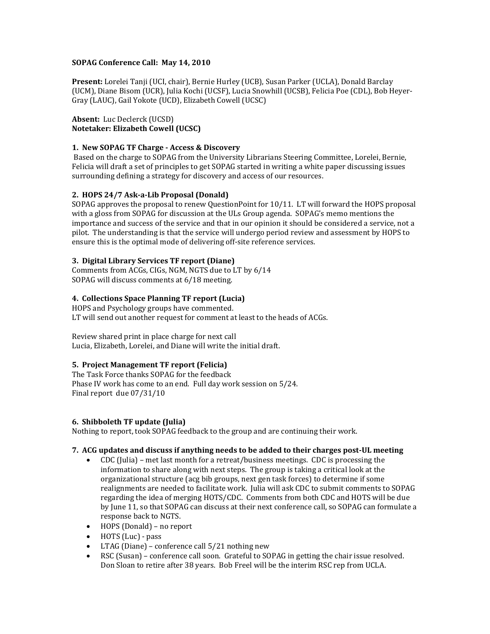## **SOPAG Conference Call: May 14, 2010**

**Present:** Lorelei Tanji (UCI, chair), Bernie Hurley (UCB), Susan Parker (UCLA), Donald Barclay (UCM), Diane Bisom (UCR), Julia Kochi (UCSF), Lucia Snowhill (UCSB), Felicia Poe (CDL), Bob Heyer-Gray (LAUC), Gail Yokote (UCD), Elizabeth Cowell (UCSC)

**Absent:** Luc Declerck (UCSD) **Notetaker: Elizabeth Cowell (UCSC)**

# **1. New SOPAG TF Charge - Access & Discovery**

Based on the charge to SOPAG from the University Librarians Steering Committee, Lorelei, Bernie, Felicia will draft a set of principles to get SOPAG started in writing a white paper discussing issues surrounding defining a strategy for discovery and access of our resources.

# **2. HOPS 24/7 Ask-a-Lib Proposal (Donald)**

SOPAG approves the proposal to renew QuestionPoint for 10/11. LT will forward the HOPS proposal with a gloss from SOPAG for discussion at the ULs Group agenda. SOPAG's memo mentions the importance and success of the service and that in our opinion it should be considered a service, not a pilot. The understanding is that the service will undergo period review and assessment by HOPS to ensure this is the optimal mode of delivering off-site reference services.

## **3. Digital Library Services TF report (Diane)**

Comments from ACGs, CIGs, NGM, NGTS due to LT by 6/14 SOPAG will discuss comments at 6/18 meeting.

# **4. Collections Space Planning TF report (Lucia)**

HOPS and Psychology groups have commented. LT will send out another request for comment at least to the heads of ACGs.

Review shared print in place charge for next call Lucia, Elizabeth, Lorelei, and Diane will write the initial draft.

## **5. Project Management TF report (Felicia)**

The Task Force thanks SOPAG for the feedback Phase IV work has come to an end. Full day work session on 5/24. Final report due 07/31/10

## **6. Shibboleth TF update (Julia)**

Nothing to report, took SOPAG feedback to the group and are continuing their work.

## **7. ACG updates and discuss if anything needs to be added to their charges post-UL meeting**

- CDC (Julia) met last month for a retreat/business meetings. CDC is processing the information to share along with next steps. The group is taking a critical look at the organizational structure (acg bib groups, next gen task forces) to determine if some realignments are needed to facilitate work. Julia will ask CDC to submit comments to SOPAG regarding the idea of merging HOTS/CDC. Comments from both CDC and HOTS will be due by June 11, so that SOPAG can discuss at their next conference call, so SOPAG can formulate a response back to NGTS.
- HOPS (Donald) no report
- HOTS (Luc) pass
- LTAG (Diane) conference call 5/21 nothing new
- RSC (Susan) conference call soon. Grateful to SOPAG in getting the chair issue resolved. Don Sloan to retire after 38 years. Bob Freel will be the interim RSC rep from UCLA.